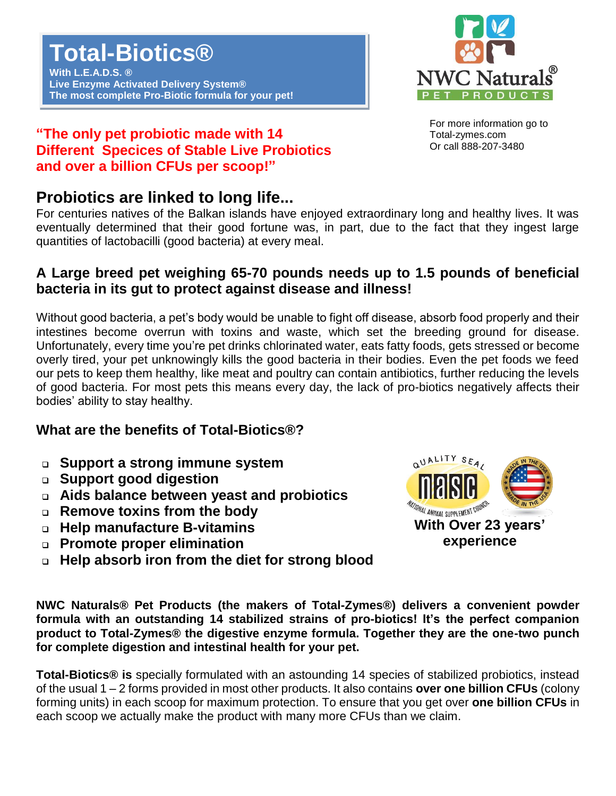

For more information go to Total-zymes.com Or call 888-207-3480

### **"The only pet probiotic made with 14 Different Specices of Stable Live Probiotics and over a billion CFUs per scoop!"**

# **Probiotics are linked to long life...**

For centuries natives of the Balkan islands have enjoyed extraordinary long and healthy lives. It was eventually determined that their good fortune was, in part, due to the fact that they ingest large quantities of lactobacilli (good bacteria) at every meal.

## **A Large breed pet weighing 65-70 pounds needs up to 1.5 pounds of beneficial bacteria in its gut to protect against disease and illness!**

Without good bacteria, a pet's body would be unable to fight off disease, absorb food properly and their intestines become overrun with toxins and waste, which set the breeding ground for disease. Unfortunately, every time you're pet drinks chlorinated water, eats fatty foods, gets stressed or become overly tired, your pet unknowingly kills the good bacteria in their bodies. Even the pet foods we feed our pets to keep them healthy, like meat and poultry can contain antibiotics, further reducing the levels of good bacteria. For most pets this means every day, the lack of pro-biotics negatively affects their bodies' ability to stay healthy.

## **What are the benefits of Total-Biotics®?**

- ❑ **Support a strong immune system**
- ❑ **Support good digestion**
- ❑ **Aids balance between yeast and probiotics**
- ❑ **Remove toxins from the body**
- ❑ **Help manufacture B-vitamins**
- ❑ **Promote proper elimination**
- ❑ **Help absorb iron from the diet for strong blood**



**NWC Naturals® Pet Products (the makers of Total-Zymes®) delivers a convenient powder formula with an outstanding 14 stabilized strains of pro-biotics! It's the perfect companion product to Total-Zymes® the digestive enzyme formula. Together they are the one-two punch for complete digestion and intestinal health for your pet.**

**Total-Biotics® is** specially formulated with an astounding 14 species of stabilized probiotics, instead of the usual 1 – 2 forms provided in most other products. It also contains **over one billion CFUs** (colony forming units) in each scoop for maximum protection. To ensure that you get over **one billion CFUs** in each scoop we actually make the product with many more CFUs than we claim.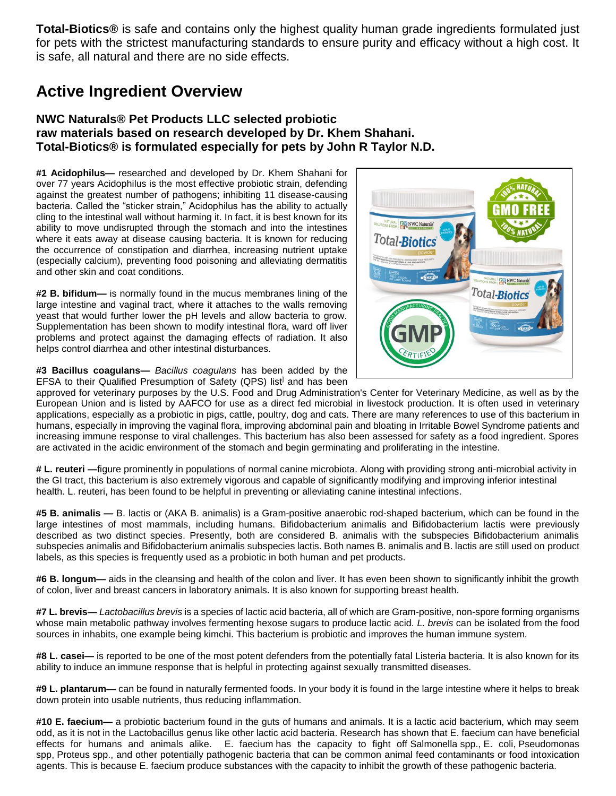**Total-Biotics®** is safe and contains only the highest quality human grade ingredients formulated just for pets with the strictest manufacturing standards to ensure purity and efficacy without a high cost. It is safe, all natural and there are no side effects.

# **Active Ingredient Overview**

#### **NWC Naturals® Pet Products LLC selected probiotic raw materials based on research developed by Dr. Khem Shahani. Total-Biotics® is formulated especially for pets by John R Taylor N.D.**

**#1 Acidophilus—** researched and developed by Dr. Khem Shahani for over 77 years Acidophilus is the most effective probiotic strain, defending against the greatest number of pathogens; inhibiting 11 disease-causing bacteria. Called the "sticker strain," Acidophilus has the ability to actually cling to the intestinal wall without harming it. In fact, it is best known for its ability to move undisrupted through the stomach and into the intestines where it eats away at disease causing bacteria. It is known for reducing the occurrence of constipation and diarrhea, increasing nutrient uptake (especially calcium), preventing food poisoning and alleviating dermatitis and other skin and coat conditions.

**#2 B. bifidum—** is normally found in the mucus membranes lining of the large intestine and vaginal tract, where it attaches to the walls removing yeast that would further lower the pH levels and allow bacteria to grow. Supplementation has been shown to modify intestinal flora, ward off liver problems and protect against the damaging effects of radiation. It also helps control diarrhea and other intestinal disturbances.

**#3 Bacillus coagulans—** *Bacillus coagulans* has been added by the EFSA to their Qualified Presumption of Safety (QPS) list<sup>1</sup> and has been



approved for veterinary purposes by the U.S. Food and Drug Administration's Center for Veterinary Medicine, as well as by the European Union and is listed by AAFCO for use as a direct fed microbial in livestock production. It is often used in veterinary applications, especially as a probiotic in pigs, cattle, poultry, dog and cats. There are many references to use of this bacterium in humans, especially in improving the vaginal flora, improving abdominal pain and bloating in Irritable Bowel Syndrome patients and increasing immune response to viral challenges. This bacterium has also been assessed for safety as a food ingredient. Spores are activated in the acidic environment of the stomach and begin germinating and proliferating in the intestine.

**# L. reuteri —**figure prominently in populations of normal canine microbiota. Along with providing strong anti-microbial activity in the GI tract, this bacterium is also extremely vigorous and capable of significantly modifying and improving inferior intestinal health. L. reuteri, has been found to be helpful in preventing or alleviating canine intestinal infections.

**#5 B. animalis —** B. lactis or (AKA B. animalis) is a Gram-positive anaerobic rod-shaped bacterium, which can be found in the large intestines of most mammals, including humans. Bifidobacterium animalis and Bifidobacterium lactis were previously described as two distinct species. Presently, both are considered B. animalis with the subspecies Bifidobacterium animalis subspecies animalis and Bifidobacterium animalis subspecies lactis. Both names B. animalis and B. lactis are still used on product labels, as this species is frequently used as a probiotic in both human and pet products.

**#6 B. longum—** aids in the cleansing and health of the colon and liver. It has even been shown to significantly inhibit the growth of colon, liver and breast cancers in laboratory animals. It is also known for supporting breast health.

**#7 L. brevis—** *Lactobacillus brevis* is a species of lactic acid bacteria, all of which are Gram-positive, non-spore forming organisms whose main metabolic pathway involves fermenting hexose sugars to produce lactic acid. *L. brevis* can be isolated from the food sources in inhabits, one example being kimchi. This bacterium is probiotic and improves the human immune system.

**#8 L. casei—** is reported to be one of the most potent defenders from the potentially fatal Listeria bacteria. It is also known for its ability to induce an immune response that is helpful in protecting against sexually transmitted diseases.

**#9 L. plantarum—** can be found in naturally fermented foods. In your body it is found in the large intestine where it helps to break down protein into usable nutrients, thus reducing inflammation.

**#10 E. faecium—** a probiotic bacterium found in the guts of humans and animals. It is a lactic acid bacterium, which may seem odd, as it is not in the Lactobacillus genus like other lactic acid bacteria. Research has shown that E. faecium can have beneficial effects for humans and animals alike. E. faecium has the capacity to fight off Salmonella spp., E. coli, Pseudomonas spp, Proteus spp., and other potentially pathogenic bacteria that can be common animal feed contaminants or food intoxication agents. This is because E. faecium produce substances with the capacity to inhibit the growth of these pathogenic bacteria.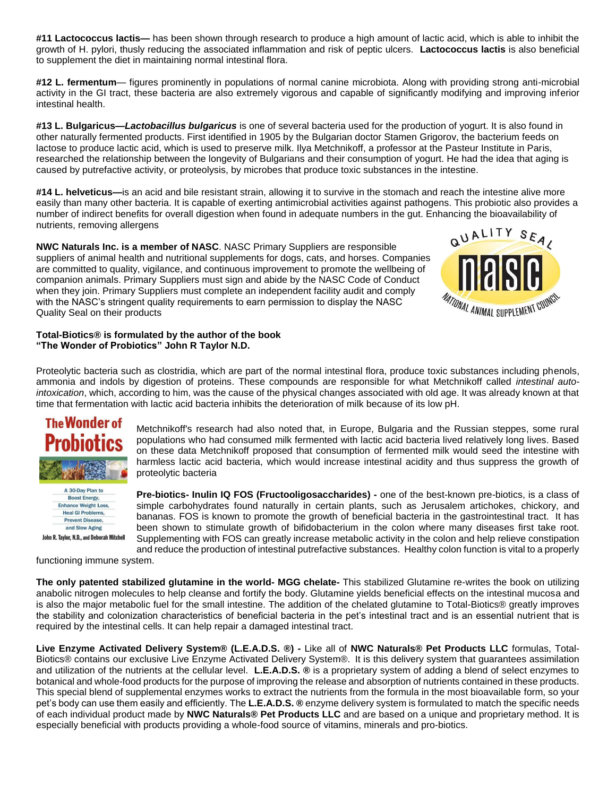**#11 Lactococcus lactis—** has been shown through research to produce a high amount of lactic acid, which is able to inhibit the growth of H. pylori, thusly reducing the associated inflammation and risk of peptic ulcers. **Lactococcus lactis** is also beneficial to supplement the diet in maintaining normal intestinal flora.

**#12 L. fermentum**— figures prominently in populations of normal canine microbiota. Along with providing strong anti-microbial activity in the GI tract, these bacteria are also extremely vigorous and capable of significantly modifying and improving inferior intestinal health.

**#13 L. Bulgaricus—***Lactobacillus bulgaricus* is one of several bacteria used for the production of yogurt. It is also found in other naturally fermented products. First identified in 1905 by the Bulgarian doctor Stamen Grigorov, the bacterium feeds on lactose to produce lactic acid, which is used to preserve milk. Ilya Metchnikoff, a professor at the Pasteur Institute in Paris, researched the relationship between the longevity of Bulgarians and their consumption of yogurt. He had the idea that aging is caused by putrefactive activity, or proteolysis, by microbes that produce toxic substances in the intestine.

**#14 L. helveticus—**is an acid and bile resistant strain, allowing it to survive in the stomach and reach the intestine alive more easily than many other bacteria. It is capable of exerting antimicrobial activities against pathogens. This probiotic also provides a number of indirect benefits for overall digestion when found in adequate numbers in the gut. Enhancing the bioavailability of nutrients, removing allergens

**NWC Naturals Inc. is a member of NASC**. NASC Primary Suppliers are responsible suppliers of animal health and nutritional supplements for dogs, cats, and horses. Companies are committed to quality, vigilance, and continuous improvement to promote the wellbeing of companion animals. Primary Suppliers must sign and abide by the NASC Code of Conduct when they join. Primary Suppliers must complete an independent facility audit and comply with the NASC's stringent quality requirements to earn permission to display the NASC Quality Seal on their products



#### **Total-Biotics® is formulated by the author of the book "The Wonder of Probiotics" John R Taylor N.D.**

Proteolytic bacteria such as clostridia, which are part of the normal intestinal flora, produce toxic substances including phenols, ammonia and indols by digestion of proteins. These compounds are responsible for what Metchnikoff called *intestinal autointoxication*, which, according to him, was the cause of the physical changes associated with old age. It was already known at that time that fermentation with lactic acid bacteria inhibits the deterioration of milk because of its low pH.



**Boost Energy, Enhance Weight Loss, Heal GI Problems, Prevent Disease,** and Slow Aging John R. Taylor, N.D., and Deborah Mitchell Metchnikoff's research had also noted that, in Europe, Bulgaria and the Russian steppes, some rural populations who had consumed milk fermented with lactic acid bacteria lived relatively long lives. Based on these data Metchnikoff proposed that consumption of fermented milk would seed the intestine with harmless lactic acid bacteria, which would increase intestinal acidity and thus suppress the growth of proteolytic bacteria

**Pre-biotics- Inulin IQ FOS (Fructooligosaccharides) -** one of the best-known pre-biotics, is a class of simple carbohydrates found naturally in certain plants, such as Jerusalem artichokes, chickory, and bananas. FOS is known to promote the growth of beneficial bacteria in the gastrointestinal tract. It has been shown to stimulate growth of bifidobacterium in the colon where many diseases first take root. Supplementing with FOS can greatly increase metabolic activity in the colon and help relieve constipation and reduce the production of intestinal putrefactive substances. Healthy colon function is vital to a properly

functioning immune system.

**The only patented stabilized glutamine in the world- MGG chelate-** This stabilized Glutamine re-writes the book on utilizing anabolic nitrogen molecules to help cleanse and fortify the body. Glutamine yields beneficial effects on the intestinal mucosa and is also the major metabolic fuel for the small intestine. The addition of the chelated glutamine to Total-Biotics® greatly improves the stability and colonization characteristics of beneficial bacteria in the pet's intestinal tract and is an essential nutrient that is required by the intestinal cells. It can help repair a damaged intestinal tract.

**Live Enzyme Activated Delivery System® (L.E.A.D.S. ®) -** Like all of **NWC Naturals® Pet Products LLC** formulas, Total-Biotics® contains our exclusive Live Enzyme Activated Delivery System®. It is this delivery system that guarantees assimilation and utilization of the nutrients at the cellular level. **L.E.A.D.S. ®** is a proprietary system of adding a blend of select enzymes to botanical and whole-food products for the purpose of improving the release and absorption of nutrients contained in these products. This special blend of supplemental enzymes works to extract the nutrients from the formula in the most bioavailable form, so your pet's body can use them easily and efficiently. The **L.E.A.D.S. ®** enzyme delivery system is formulated to match the specific needs of each individual product made by **NWC Naturals® Pet Products LLC** and are based on a unique and proprietary method. It is especially beneficial with products providing a whole-food source of vitamins, minerals and pro-biotics.